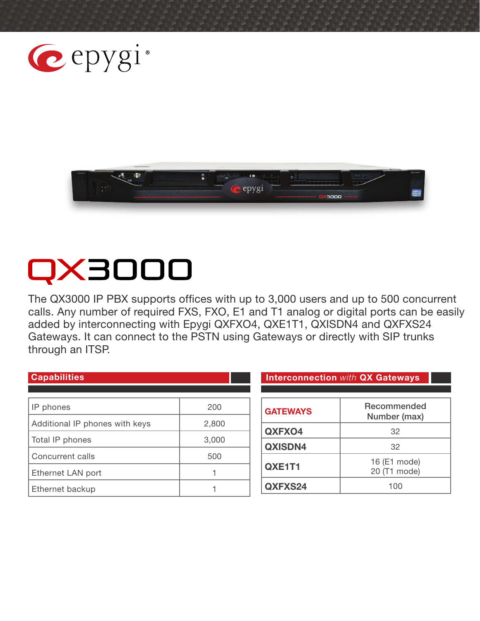



# QX3000

The QX3000 IP PBX supports offices with up to 3,000 users and up to 500 concurrent calls. Any number of required FXS, FXO, E1 and T1 analog or digital ports can be easily added by interconnecting with Epygi QXFXO4, QXE1T1, QXISDN4 and QXFXS24 Gateways. It can connect to the PSTN using Gateways or directly with SIP trunks through an ITSP.

| <b>Capabilities</b>            |       |
|--------------------------------|-------|
|                                |       |
| IP phones                      | 200   |
| Additional IP phones with keys | 2,800 |
| Total IP phones                | 3,000 |
| Concurrent calls               | 500   |
| Ethernet LAN port              |       |
| Ethernet backup                |       |

**Interconnection with QX Gateways** 

| <b>GATEWAYS</b> | Recommended<br>Number (max)  |
|-----------------|------------------------------|
| QXFXO4          | 32                           |
| QXISDN4         | 32                           |
| QXE1T1          | 16 (E1 mode)<br>20 (T1 mode) |
| QXFXS24         | 100                          |